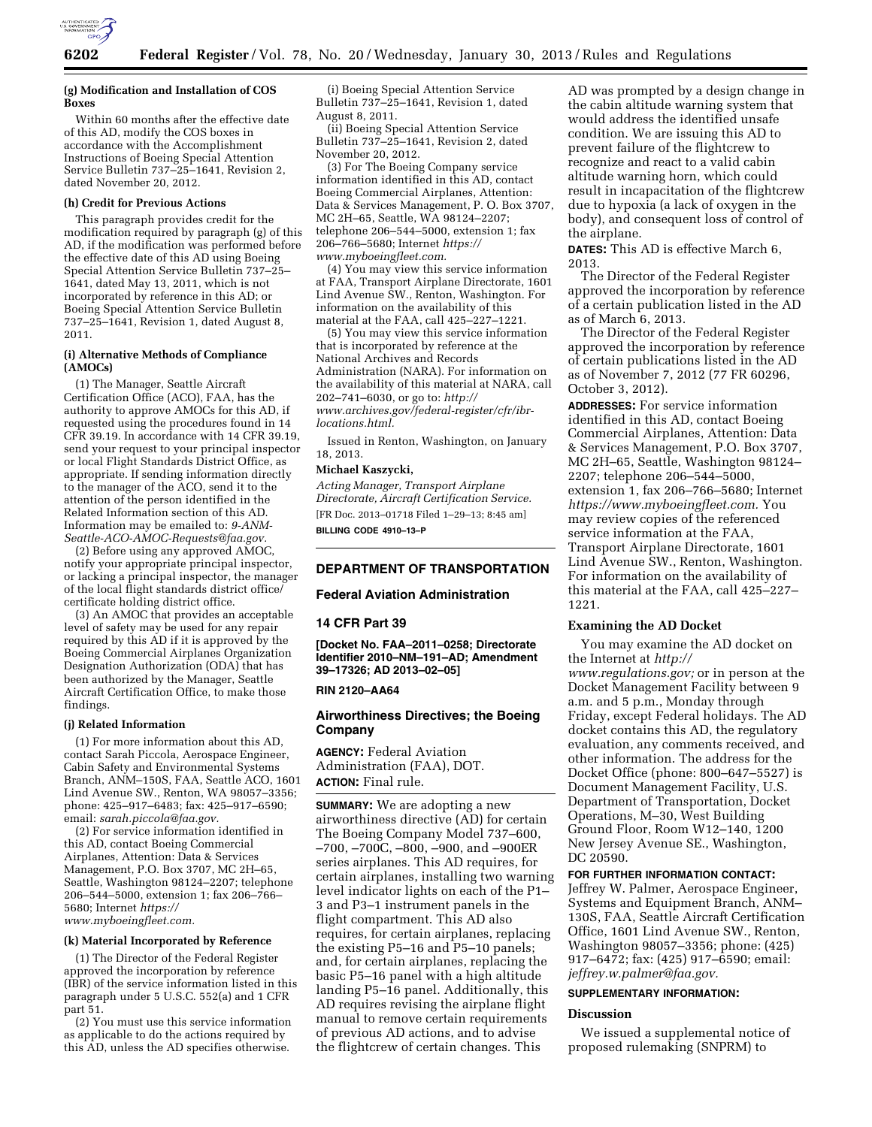

### **(g) Modification and Installation of COS Boxes**

Within 60 months after the effective date of this AD, modify the COS boxes in accordance with the Accomplishment Instructions of Boeing Special Attention Service Bulletin  $737-25-1641$ , Revision 2, dated November 20, 2012.

## **(h) Credit for Previous Actions**

This paragraph provides credit for the modification required by paragraph (g) of this AD, if the modification was performed before the effective date of this AD using Boeing Special Attention Service Bulletin 737–25– 1641, dated May 13, 2011, which is not incorporated by reference in this AD; or Boeing Special Attention Service Bulletin 737–25–1641, Revision 1, dated August 8, 2011.

### **(i) Alternative Methods of Compliance (AMOCs)**

(1) The Manager, Seattle Aircraft Certification Office (ACO), FAA, has the authority to approve AMOCs for this AD, if requested using the procedures found in 14 CFR 39.19. In accordance with 14 CFR 39.19, send your request to your principal inspector or local Flight Standards District Office, as appropriate. If sending information directly to the manager of the ACO, send it to the attention of the person identified in the Related Information section of this AD. Information may be emailed to: *[9-ANM-](mailto:9-ANM-Seattle-ACO-AMOC-Requests@faa.gov)[Seattle-ACO-AMOC-Requests@faa.gov.](mailto:9-ANM-Seattle-ACO-AMOC-Requests@faa.gov)* 

(2) Before using any approved AMOC, notify your appropriate principal inspector, or lacking a principal inspector, the manager of the local flight standards district office/ certificate holding district office.

(3) An AMOC that provides an acceptable level of safety may be used for any repair required by this AD if it is approved by the Boeing Commercial Airplanes Organization Designation Authorization (ODA) that has been authorized by the Manager, Seattle Aircraft Certification Office, to make those findings.

### **(j) Related Information**

(1) For more information about this AD, contact Sarah Piccola, Aerospace Engineer, Cabin Safety and Environmental Systems Branch, ANM–150S, FAA, Seattle ACO, 1601 Lind Avenue SW., Renton, WA 98057–3356; phone: 425–917–6483; fax: 425–917–6590; email: *[sarah.piccola@faa.gov.](mailto:sarah.piccola@faa.gov)* 

(2) For service information identified in this AD, contact Boeing Commercial Airplanes, Attention: Data & Services Management, P.O. Box 3707, MC 2H–65, Seattle, Washington 98124–2207; telephone 206–544–5000, extension 1; fax 206–766– 5680; Internet *[https://](https://www.myboeingfleet.com) [www.myboeingfleet.com.](https://www.myboeingfleet.com)* 

### **(k) Material Incorporated by Reference**

(1) The Director of the Federal Register approved the incorporation by reference (IBR) of the service information listed in this paragraph under 5 U.S.C. 552(a) and 1 CFR part 51.

(2) You must use this service information as applicable to do the actions required by this AD, unless the AD specifies otherwise.

(i) Boeing Special Attention Service Bulletin 737–25–1641, Revision 1, dated August 8, 2011.

(ii) Boeing Special Attention Service Bulletin 737–25–1641, Revision 2, dated November 20, 2012.

(3) For The Boeing Company service information identified in this AD, contact Boeing Commercial Airplanes, Attention: Data & Services Management, P. O. Box 3707, MC 2H–65, Seattle, WA 98124–2207; telephone 206–544–5000, extension 1; fax 206–766–5680; Internet *[https://](https://www.myboeingfleet.com)  [www.myboeingfleet.com.](https://www.myboeingfleet.com)* 

(4) You may view this service information at FAA, Transport Airplane Directorate, 1601 Lind Avenue SW., Renton, Washington. For information on the availability of this material at the FAA, call 425–227–1221.

(5) You may view this service information that is incorporated by reference at the National Archives and Records Administration (NARA). For information on the availability of this material at NARA, call 202–741–6030, or go to: *[http://](http://www.archives.gov/federal-register/cfr/ibr-locations.html) [www.archives.gov/federal-register/cfr/ibr](http://www.archives.gov/federal-register/cfr/ibr-locations.html)[locations.html.](http://www.archives.gov/federal-register/cfr/ibr-locations.html)* 

Issued in Renton, Washington, on January 18, 2013.

# **Michael Kaszycki,**

*Acting Manager, Transport Airplane Directorate, Aircraft Certification Service.*  [FR Doc. 2013–01718 Filed 1–29–13; 8:45 am] **BILLING CODE 4910–13–P** 

# **DEPARTMENT OF TRANSPORTATION**

### **Federal Aviation Administration**

### **14 CFR Part 39**

**[Docket No. FAA–2011–0258; Directorate Identifier 2010–NM–191–AD; Amendment 39–17326; AD 2013–02–05]** 

### **RIN 2120–AA64**

# **Airworthiness Directives; the Boeing Company**

**AGENCY:** Federal Aviation Administration (FAA), DOT. **ACTION:** Final rule.

**SUMMARY:** We are adopting a new airworthiness directive (AD) for certain The Boeing Company Model 737–600, –700, –700C, –800, –900, and –900ER series airplanes. This AD requires, for certain airplanes, installing two warning level indicator lights on each of the P1– 3 and P3–1 instrument panels in the flight compartment. This AD also requires, for certain airplanes, replacing the existing P5–16 and P5–10 panels; and, for certain airplanes, replacing the basic P5–16 panel with a high altitude landing P5–16 panel. Additionally, this AD requires revising the airplane flight manual to remove certain requirements of previous AD actions, and to advise the flightcrew of certain changes. This

AD was prompted by a design change in the cabin altitude warning system that would address the identified unsafe condition. We are issuing this AD to prevent failure of the flightcrew to recognize and react to a valid cabin altitude warning horn, which could result in incapacitation of the flightcrew due to hypoxia (a lack of oxygen in the body), and consequent loss of control of the airplane.

**DATES:** This AD is effective March 6, 2013.

The Director of the Federal Register approved the incorporation by reference of a certain publication listed in the AD as of March 6, 2013.

The Director of the Federal Register approved the incorporation by reference of certain publications listed in the AD as of November 7, 2012 (77 FR 60296, October 3, 2012).

**ADDRESSES:** For service information identified in this AD, contact Boeing Commercial Airplanes, Attention: Data & Services Management, P.O. Box 3707, MC 2H–65, Seattle, Washington 98124– 2207; telephone 206–544–5000, extension 1, fax 206–766–5680; Internet *[https://www.myboeingfleet.com.](https://www.myboeingfleet.com)* You may review copies of the referenced service information at the FAA, Transport Airplane Directorate, 1601 Lind Avenue SW., Renton, Washington. For information on the availability of this material at the FAA, call 425–227– 1221.

## **Examining the AD Docket**

You may examine the AD docket on the Internet at *[http://](http://www.regulations.gov)  [www.regulations.gov;](http://www.regulations.gov)* or in person at the Docket Management Facility between 9 a.m. and 5 p.m., Monday through Friday, except Federal holidays. The AD docket contains this AD, the regulatory evaluation, any comments received, and other information. The address for the Docket Office (phone: 800–647–5527) is Document Management Facility, U.S. Department of Transportation, Docket Operations, M–30, West Building Ground Floor, Room W12–140, 1200 New Jersey Avenue SE., Washington, DC 20590.

### **FOR FURTHER INFORMATION CONTACT:**

Jeffrey W. Palmer, Aerospace Engineer, Systems and Equipment Branch, ANM– 130S, FAA, Seattle Aircraft Certification Office, 1601 Lind Avenue SW., Renton, Washington 98057–3356; phone: (425) 917–6472; fax: (425) 917–6590; email: *[jeffrey.w.palmer@faa.gov.](mailto:jeffrey.w.palmer@faa.gov)* 

# **SUPPLEMENTARY INFORMATION:**

## **Discussion**

We issued a supplemental notice of proposed rulemaking (SNPRM) to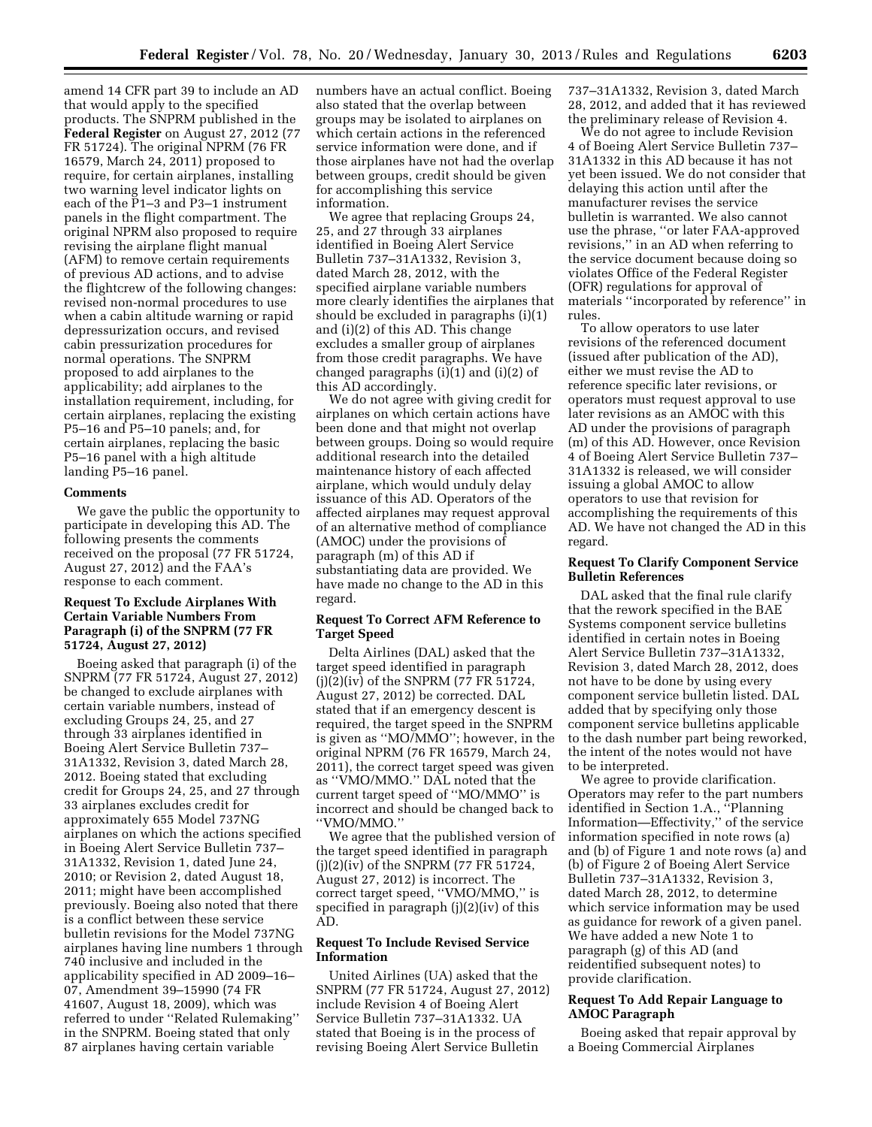amend 14 CFR part 39 to include an AD that would apply to the specified products. The SNPRM published in the **Federal Register** on August 27, 2012 (77 FR 51724). The original NPRM (76 FR 16579, March 24, 2011) proposed to require, for certain airplanes, installing two warning level indicator lights on each of the P1–3 and P3–1 instrument panels in the flight compartment. The original NPRM also proposed to require revising the airplane flight manual (AFM) to remove certain requirements of previous AD actions, and to advise the flightcrew of the following changes: revised non-normal procedures to use when a cabin altitude warning or rapid depressurization occurs, and revised cabin pressurization procedures for normal operations. The SNPRM proposed to add airplanes to the applicability; add airplanes to the installation requirement, including, for certain airplanes, replacing the existing P5–16 and P5–10 panels; and, for certain airplanes, replacing the basic P5–16 panel with a high altitude landing P5–16 panel.

### **Comments**

We gave the public the opportunity to participate in developing this AD. The following presents the comments received on the proposal (77 FR 51724, August 27, 2012) and the FAA's response to each comment.

## **Request To Exclude Airplanes With Certain Variable Numbers From Paragraph (i) of the SNPRM (77 FR 51724, August 27, 2012)**

Boeing asked that paragraph (i) of the SNPRM (77 FR 51724, August 27, 2012) be changed to exclude airplanes with certain variable numbers, instead of excluding Groups 24, 25, and 27 through 33 airplanes identified in Boeing Alert Service Bulletin 737– 31A1332, Revision 3, dated March 28, 2012. Boeing stated that excluding credit for Groups 24, 25, and 27 through 33 airplanes excludes credit for approximately 655 Model 737NG airplanes on which the actions specified in Boeing Alert Service Bulletin 737– 31A1332, Revision 1, dated June 24, 2010; or Revision 2, dated August 18, 2011; might have been accomplished previously. Boeing also noted that there is a conflict between these service bulletin revisions for the Model 737NG airplanes having line numbers 1 through 740 inclusive and included in the applicability specified in AD 2009–16– 07, Amendment 39–15990 (74 FR 41607, August 18, 2009), which was referred to under ''Related Rulemaking'' in the SNPRM. Boeing stated that only 87 airplanes having certain variable

numbers have an actual conflict. Boeing also stated that the overlap between groups may be isolated to airplanes on which certain actions in the referenced service information were done, and if those airplanes have not had the overlap between groups, credit should be given for accomplishing this service information.

We agree that replacing Groups 24, 25, and 27 through 33 airplanes identified in Boeing Alert Service Bulletin 737–31A1332, Revision 3, dated March 28, 2012, with the specified airplane variable numbers more clearly identifies the airplanes that should be excluded in paragraphs (i)(1) and (i)(2) of this AD. This change excludes a smaller group of airplanes from those credit paragraphs. We have changed paragraphs (i)(1) and (i)(2) of this AD accordingly.

We do not agree with giving credit for airplanes on which certain actions have been done and that might not overlap between groups. Doing so would require additional research into the detailed maintenance history of each affected airplane, which would unduly delay issuance of this AD. Operators of the affected airplanes may request approval of an alternative method of compliance (AMOC) under the provisions of paragraph (m) of this AD if substantiating data are provided. We have made no change to the AD in this regard.

# **Request To Correct AFM Reference to Target Speed**

Delta Airlines (DAL) asked that the target speed identified in paragraph (j)(2)(iv) of the SNPRM (77 FR 51724, August 27, 2012) be corrected. DAL stated that if an emergency descent is required, the target speed in the SNPRM is given as ''MO/MMO''; however, in the original NPRM (76 FR 16579, March 24, 2011), the correct target speed was given as ''VMO/MMO.'' DAL noted that the current target speed of ''MO/MMO'' is incorrect and should be changed back to ''VMO/MMO.''

We agree that the published version of the target speed identified in paragraph (j)(2)(iv) of the SNPRM (77 FR 51724, August 27, 2012) is incorrect. The correct target speed, ''VMO/MMO,'' is specified in paragraph (j)(2)(iv) of this AD.

# **Request To Include Revised Service Information**

United Airlines (UA) asked that the SNPRM (77 FR 51724, August 27, 2012) include Revision 4 of Boeing Alert Service Bulletin 737–31A1332. UA stated that Boeing is in the process of revising Boeing Alert Service Bulletin

737–31A1332, Revision 3, dated March 28, 2012, and added that it has reviewed the preliminary release of Revision 4.

We do not agree to include Revision 4 of Boeing Alert Service Bulletin 737– 31A1332 in this AD because it has not yet been issued. We do not consider that delaying this action until after the manufacturer revises the service bulletin is warranted. We also cannot use the phrase, ''or later FAA-approved revisions,'' in an AD when referring to the service document because doing so violates Office of the Federal Register (OFR) regulations for approval of materials ''incorporated by reference'' in rules.

To allow operators to use later revisions of the referenced document (issued after publication of the AD), either we must revise the AD to reference specific later revisions, or operators must request approval to use later revisions as an AMOC with this AD under the provisions of paragraph (m) of this AD. However, once Revision 4 of Boeing Alert Service Bulletin 737– 31A1332 is released, we will consider issuing a global AMOC to allow operators to use that revision for accomplishing the requirements of this AD. We have not changed the AD in this regard.

# **Request To Clarify Component Service Bulletin References**

DAL asked that the final rule clarify that the rework specified in the BAE Systems component service bulletins identified in certain notes in Boeing Alert Service Bulletin 737–31A1332, Revision 3, dated March 28, 2012, does not have to be done by using every component service bulletin listed. DAL added that by specifying only those component service bulletins applicable to the dash number part being reworked, the intent of the notes would not have to be interpreted.

We agree to provide clarification. Operators may refer to the part numbers identified in Section 1.A., ''Planning Information—Effectivity,'' of the service information specified in note rows (a) and (b) of Figure 1 and note rows (a) and (b) of Figure 2 of Boeing Alert Service Bulletin 737–31A1332, Revision 3, dated March 28, 2012, to determine which service information may be used as guidance for rework of a given panel. We have added a new Note 1 to paragraph (g) of this AD (and reidentified subsequent notes) to provide clarification.

# **Request To Add Repair Language to AMOC Paragraph**

Boeing asked that repair approval by a Boeing Commercial Airplanes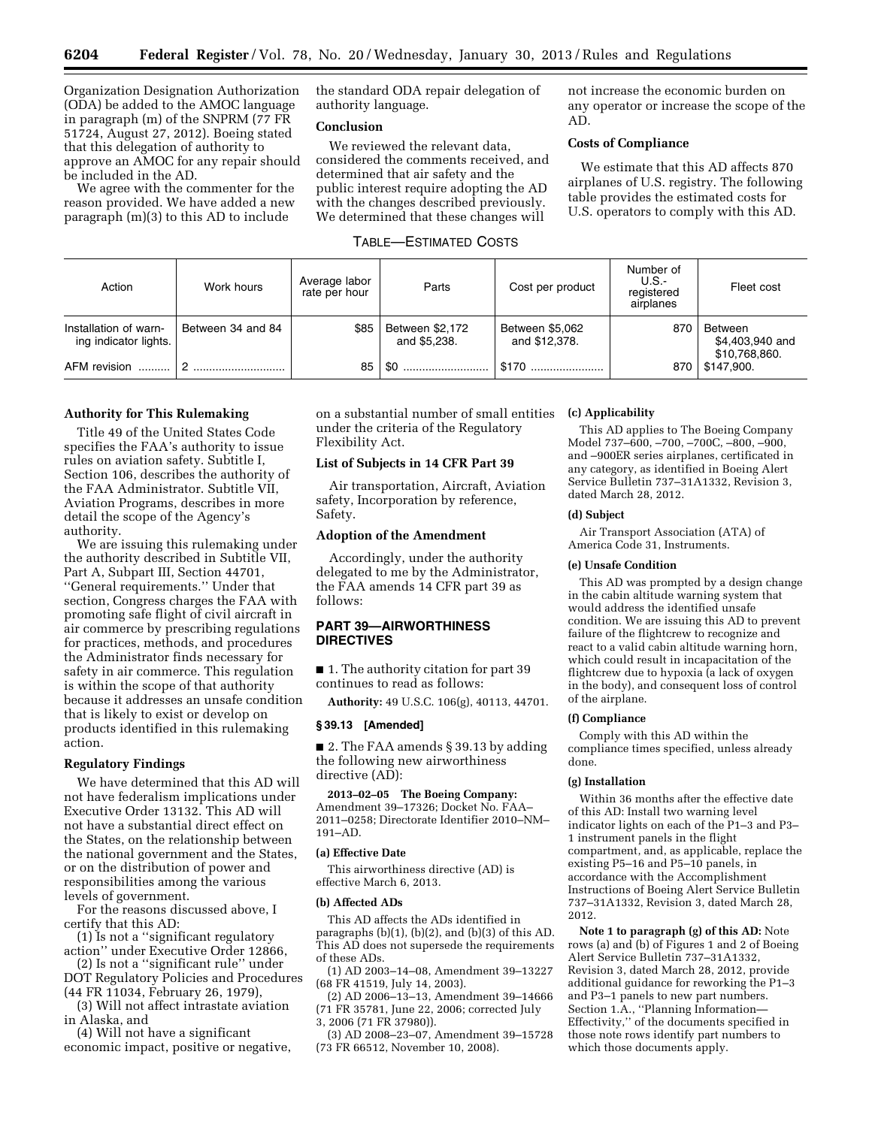Organization Designation Authorization (ODA) be added to the AMOC language in paragraph (m) of the SNPRM (77 FR 51724, August 27, 2012). Boeing stated that this delegation of authority to approve an AMOC for any repair should be included in the AD.

We agree with the commenter for the reason provided. We have added a new paragraph (m)(3) to this AD to include

the standard ODA repair delegation of authority language.

# **Conclusion**

We reviewed the relevant data, considered the comments received, and determined that air safety and the public interest require adopting the AD with the changes described previously. We determined that these changes will

## TABLE—ESTIMATED COSTS

not increase the economic burden on any operator or increase the scope of the AD.

# **Costs of Compliance**

We estimate that this AD affects 870 airplanes of U.S. registry. The following table provides the estimated costs for U.S. operators to comply with this AD.

| Action                                         | Work hours        | Average labor<br>rate per hour | Parts                           | Cost per product                 | Number of<br>U.S.-<br>registered<br>airplanes | Fleet cost                                                |
|------------------------------------------------|-------------------|--------------------------------|---------------------------------|----------------------------------|-----------------------------------------------|-----------------------------------------------------------|
| Installation of warn-<br>ing indicator lights. | Between 34 and 84 | \$85                           | Between \$2,172<br>and \$5.238. | Between \$5,062<br>and \$12,378. | 870                                           | Between<br>\$4,403,940 and<br>\$10,768,860.<br>\$147.900. |
| AFM revision                                   |                   | 85                             | \$0                             | \$170                            | 870                                           |                                                           |

# **Authority for This Rulemaking**

Title 49 of the United States Code specifies the FAA's authority to issue rules on aviation safety. Subtitle I, Section 106, describes the authority of the FAA Administrator. Subtitle VII, Aviation Programs, describes in more detail the scope of the Agency's authority.

We are issuing this rulemaking under the authority described in Subtitle VII, Part A, Subpart III, Section 44701, ''General requirements.'' Under that section, Congress charges the FAA with promoting safe flight of civil aircraft in air commerce by prescribing regulations for practices, methods, and procedures the Administrator finds necessary for safety in air commerce. This regulation is within the scope of that authority because it addresses an unsafe condition that is likely to exist or develop on products identified in this rulemaking action.

## **Regulatory Findings**

We have determined that this AD will not have federalism implications under Executive Order 13132. This AD will not have a substantial direct effect on the States, on the relationship between the national government and the States, or on the distribution of power and responsibilities among the various levels of government.

For the reasons discussed above, I certify that this AD:

(1) Is not a ''significant regulatory action'' under Executive Order 12866,

(2) Is not a ''significant rule'' under DOT Regulatory Policies and Procedures (44 FR 11034, February 26, 1979),

(3) Will not affect intrastate aviation in Alaska, and

(4) Will not have a significant economic impact, positive or negative, on a substantial number of small entities under the criteria of the Regulatory Flexibility Act.

# **List of Subjects in 14 CFR Part 39**

Air transportation, Aircraft, Aviation safety, Incorporation by reference, Safety.

### **Adoption of the Amendment**

Accordingly, under the authority delegated to me by the Administrator, the FAA amends 14 CFR part 39 as follows:

# **PART 39—AIRWORTHINESS DIRECTIVES**

■ 1. The authority citation for part 39 continues to read as follows:

**Authority:** 49 U.S.C. 106(g), 40113, 44701.

# **§ 39.13 [Amended]**

■ 2. The FAA amends § 39.13 by adding the following new airworthiness directive (AD):

**2013–02–05 The Boeing Company:**  Amendment 39–17326; Docket No. FAA– 2011–0258; Directorate Identifier 2010–NM– 191–AD.

## **(a) Effective Date**

This airworthiness directive (AD) is effective March 6, 2013.

#### **(b) Affected ADs**

This AD affects the ADs identified in paragraphs (b)(1), (b)(2), and (b)(3) of this AD. This AD does not supersede the requirements of these ADs.

(1) AD 2003–14–08, Amendment 39–13227 (68 FR 41519, July 14, 2003).

(2) AD 2006–13–13, Amendment 39–14666 (71 FR 35781, June 22, 2006; corrected July 3, 2006 (71 FR 37980)).

(3) AD 2008–23–07, Amendment 39–15728 (73 FR 66512, November 10, 2008).

## **(c) Applicability**

This AD applies to The Boeing Company Model 737–600, –700, –700C, –800, –900, and –900ER series airplanes, certificated in any category, as identified in Boeing Alert Service Bulletin 737–31A1332, Revision 3, dated March 28, 2012.

# **(d) Subject**

Air Transport Association (ATA) of America Code 31, Instruments.

### **(e) Unsafe Condition**

This AD was prompted by a design change in the cabin altitude warning system that would address the identified unsafe condition. We are issuing this AD to prevent failure of the flightcrew to recognize and react to a valid cabin altitude warning horn, which could result in incapacitation of the flightcrew due to hypoxia (a lack of oxygen in the body), and consequent loss of control of the airplane.

### **(f) Compliance**

Comply with this AD within the compliance times specified, unless already done.

## **(g) Installation**

Within 36 months after the effective date of this AD: Install two warning level indicator lights on each of the P1–3 and P3– 1 instrument panels in the flight compartment, and, as applicable, replace the existing P5–16 and P5–10 panels, in accordance with the Accomplishment Instructions of Boeing Alert Service Bulletin 737–31A1332, Revision 3, dated March 28, 2012.

**Note 1 to paragraph (g) of this AD:** Note rows (a) and (b) of Figures 1 and 2 of Boeing Alert Service Bulletin 737–31A1332, Revision 3, dated March 28, 2012, provide additional guidance for reworking the P1–3 and P3–1 panels to new part numbers. Section 1.A., "Planning Information-Effectivity,'' of the documents specified in those note rows identify part numbers to which those documents apply.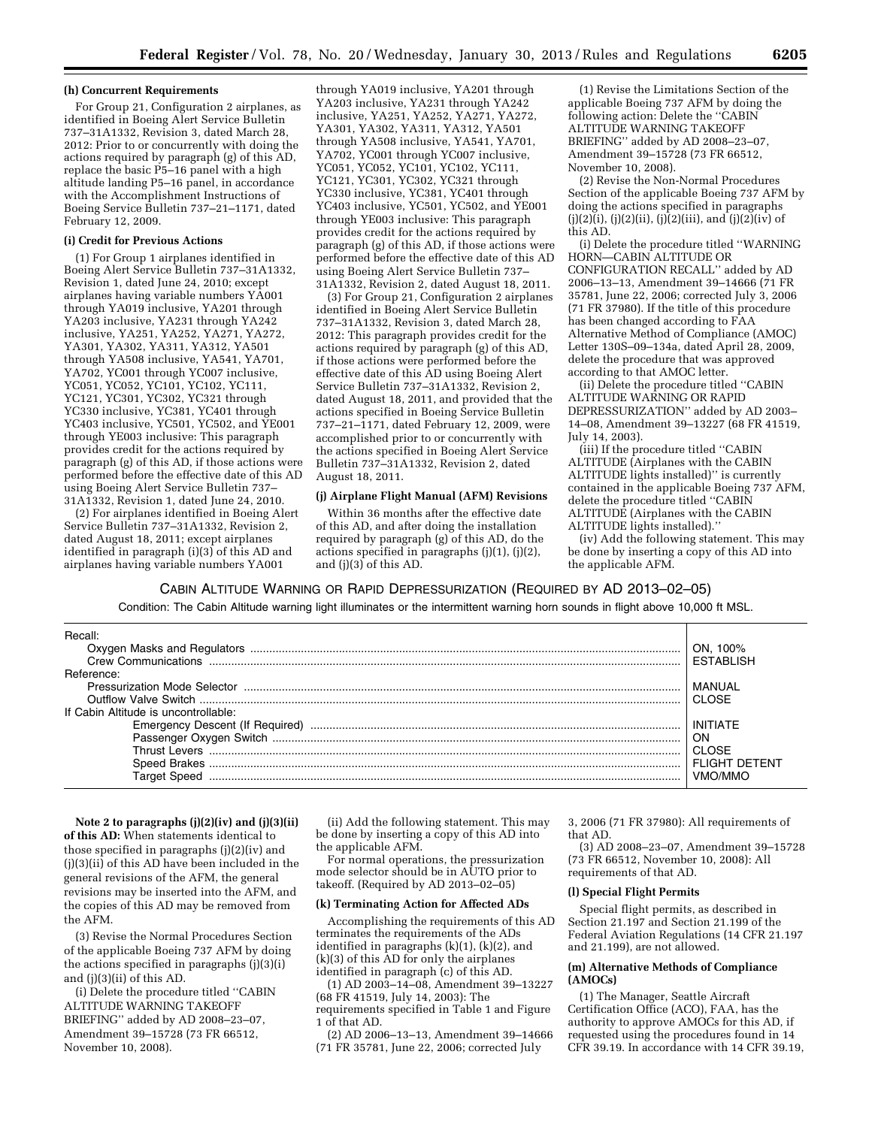### **(h) Concurrent Requirements**

For Group 21, Configuration 2 airplanes, as identified in Boeing Alert Service Bulletin 737–31A1332, Revision 3, dated March 28, 2012: Prior to or concurrently with doing the actions required by paragraph (g) of this AD, replace the basic P5–16 panel with a high altitude landing P5–16 panel, in accordance with the Accomplishment Instructions of Boeing Service Bulletin 737–21–1171, dated February 12, 2009.

# **(i) Credit for Previous Actions**

(1) For Group 1 airplanes identified in Boeing Alert Service Bulletin 737–31A1332, Revision 1, dated June 24, 2010; except airplanes having variable numbers YA001 through YA019 inclusive, YA201 through YA203 inclusive, YA231 through YA242 inclusive, YA251, YA252, YA271, YA272, YA301, YA302, YA311, YA312, YA501 through YA508 inclusive, YA541, YA701, YA702, YC001 through YC007 inclusive, YC051, YC052, YC101, YC102, YC111, YC121, YC301, YC302, YC321 through YC330 inclusive, YC381, YC401 through YC403 inclusive, YC501, YC502, and YE001 through YE003 inclusive: This paragraph provides credit for the actions required by paragraph (g) of this AD, if those actions were performed before the effective date of this AD using Boeing Alert Service Bulletin 737– 31A1332, Revision 1, dated June 24, 2010.

(2) For airplanes identified in Boeing Alert Service Bulletin 737–31A1332, Revision 2, dated August 18, 2011; except airplanes identified in paragraph (i)(3) of this AD and airplanes having variable numbers YA001

through YA019 inclusive, YA201 through YA203 inclusive, YA231 through YA242 inclusive, YA251, YA252, YA271, YA272, YA301, YA302, YA311, YA312, YA501 through YA508 inclusive, YA541, YA701, YA702, YC001 through YC007 inclusive, YC051, YC052, YC101, YC102, YC111, YC121, YC301, YC302, YC321 through YC330 inclusive, YC381, YC401 through YC403 inclusive, YC501, YC502, and YE001 through YE003 inclusive: This paragraph provides credit for the actions required by paragraph (g) of this AD, if those actions were performed before the effective date of this AD using Boeing Alert Service Bulletin 737– 31A1332, Revision 2, dated August 18, 2011.

(3) For Group 21, Configuration 2 airplanes identified in Boeing Alert Service Bulletin 737–31A1332, Revision 3, dated March 28, 2012: This paragraph provides credit for the actions required by paragraph (g) of this AD, if those actions were performed before the effective date of this AD using Boeing Alert Service Bulletin 737–31A1332, Revision 2, dated August 18, 2011, and provided that the actions specified in Boeing Service Bulletin 737–21–1171, dated February 12, 2009, were accomplished prior to or concurrently with the actions specified in Boeing Alert Service Bulletin 737–31A1332, Revision 2, dated August 18, 2011.

### **(j) Airplane Flight Manual (AFM) Revisions**

Within 36 months after the effective date of this AD, and after doing the installation required by paragraph (g) of this AD, do the actions specified in paragraphs (j)(1), (j)(2), and (j)(3) of this AD.

(1) Revise the Limitations Section of the applicable Boeing 737 AFM by doing the following action: Delete the ''CABIN ALTITUDE WARNING TAKEOFF BRIEFING'' added by AD 2008–23–07, Amendment 39–15728 (73 FR 66512, November 10, 2008).

(2) Revise the Non-Normal Procedures Section of the applicable Boeing 737 AFM by doing the actions specified in paragraphs  $(j)(2)(i)$ ,  $(j)(2)(ii)$ ,  $(j)(2)(iii)$ , and  $(j)(2)(iv)$  of this AD.

(i) Delete the procedure titled ''WARNING HORN—CABIN ALTITUDE OR CONFIGURATION RECALL'' added by AD 2006–13–13, Amendment 39–14666 (71 FR 35781, June 22, 2006; corrected July 3, 2006 (71 FR 37980). If the title of this procedure has been changed according to FAA Alternative Method of Compliance (AMOC) Letter 130S–09–134a, dated April 28, 2009, delete the procedure that was approved according to that AMOC letter.

(ii) Delete the procedure titled ''CABIN ALTITUDE WARNING OR RAPID DEPRESSURIZATION'' added by AD 2003– 14–08, Amendment 39–13227 (68 FR 41519, July 14, 2003).

(iii) If the procedure titled ''CABIN ALTITUDE (Airplanes with the CABIN ALTITUDE lights installed)'' is currently contained in the applicable Boeing 737 AFM, delete the procedure titled ''CABIN ALTITUDE (Airplanes with the CABIN ALTITUDE lights installed).''

(iv) Add the following statement. This may be done by inserting a copy of this AD into the applicable AFM.

CABIN ALTITUDE WARNING OR RAPID DEPRESSURIZATION (REQUIRED BY AD 2013–02–05) Condition: The Cabin Altitude warning light illuminates or the intermittent warning horn sounds in flight above 10,000 ft MSL.

| Recall:                              |                  |
|--------------------------------------|------------------|
|                                      | 100%             |
| Crew Communications                  | <b>FSTABLISH</b> |
| Reference:                           |                  |
| Pressurization Mode Selector         |                  |
|                                      | CI OSE           |
| If Cabin Altitude is uncontrollable: |                  |
|                                      | INITIATF         |
|                                      | ON               |
| Thrust Levers                        | CI OSE           |
|                                      | IGHT<br>: DETENT |
|                                      |                  |

**Note 2 to paragraphs (j)(2)(iv) and (j)(3)(ii) of this AD:** When statements identical to those specified in paragraphs (j)(2)(iv) and (j)(3)(ii) of this AD have been included in the general revisions of the AFM, the general revisions may be inserted into the AFM, and the copies of this AD may be removed from the AFM.

(3) Revise the Normal Procedures Section of the applicable Boeing 737 AFM by doing the actions specified in paragraphs (j)(3)(i) and (j)(3)(ii) of this AD.

(i) Delete the procedure titled ''CABIN ALTITUDE WARNING TAKEOFF BRIEFING'' added by AD 2008–23–07, Amendment 39–15728 (73 FR 66512, November 10, 2008).

(ii) Add the following statement. This may be done by inserting a copy of this AD into the applicable AFM.

For normal operations, the pressurization mode selector should be in AUTO prior to takeoff. (Required by AD 2013–02–05)

#### **(k) Terminating Action for Affected ADs**

Accomplishing the requirements of this AD terminates the requirements of the ADs identified in paragraphs (k)(1), (k)(2), and (k)(3) of this AD for only the airplanes identified in paragraph (c) of this AD.

(1) AD 2003–14–08, Amendment 39–13227 (68 FR 41519, July 14, 2003): The requirements specified in Table 1 and Figure

1 of that AD. (2) AD 2006–13–13, Amendment 39–14666 (71 FR 35781, June 22, 2006; corrected July

3, 2006 (71 FR 37980): All requirements of that AD.

(3) AD 2008–23–07, Amendment 39–15728 (73 FR 66512, November 10, 2008): All requirements of that AD.

### **(l) Special Flight Permits**

Special flight permits, as described in Section 21.197 and Section 21.199 of the Federal Aviation Regulations (14 CFR 21.197 and 21.199), are not allowed.

### **(m) Alternative Methods of Compliance (AMOCs)**

(1) The Manager, Seattle Aircraft Certification Office (ACO), FAA, has the authority to approve AMOCs for this AD, if requested using the procedures found in 14 CFR 39.19. In accordance with 14 CFR 39.19,